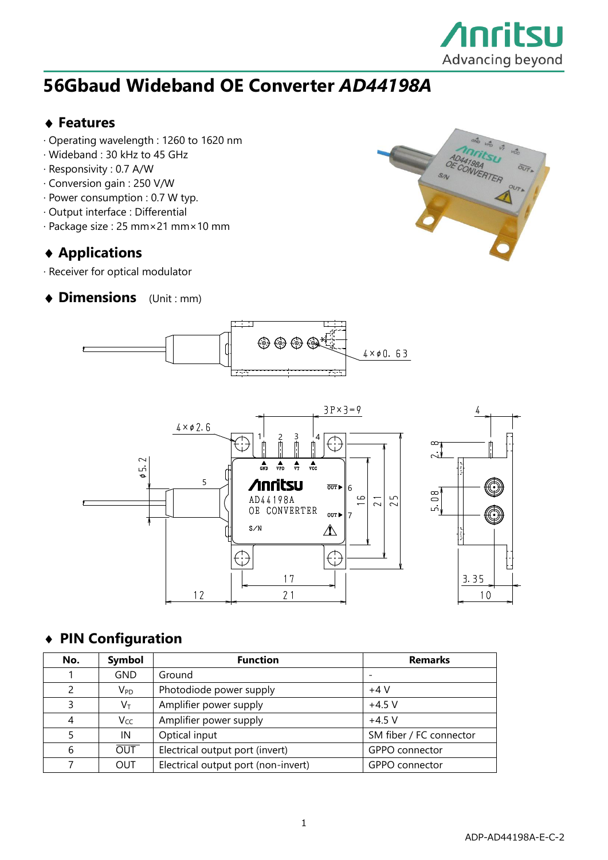

## **56Gbaud Wideband OE Converter** *AD44198A*

#### **Features**

- · Operating wavelength : 1260 to 1620 nm
- · Wideband : 30 kHz to 45 GHz
- · Responsivity : 0.7 A/W
- · Conversion gain : 250 V/W
- · Power consumption : 0.7 W typ.
- · Output interface : Differential
- · Package size : 25 mm×21 mm×10 mm

#### **Applications**

· Receiver for optical modulator

#### **Dimensions** (Unit : mm)







#### **PIN Configuration**

| No.           | Symbol                     | <b>Function</b>                     | <b>Remarks</b>          |
|---------------|----------------------------|-------------------------------------|-------------------------|
|               | <b>GND</b>                 | Ground                              |                         |
| $\mathcal{P}$ | $\mathsf{V}_{\mathsf{PD}}$ | Photodiode power supply             | $+4V$                   |
| 3             | $\mathsf{V}_\mathsf{T}$    | Amplifier power supply              | $+4.5$ V                |
| 4             | Vcc                        | Amplifier power supply              | $+4.5$ V                |
| 5             | IN                         | Optical input                       | SM fiber / FC connector |
| 6             | <b>OUT</b>                 | Electrical output port (invert)     | GPPO connector          |
|               | <b>OUT</b>                 | Electrical output port (non-invert) | GPPO connector          |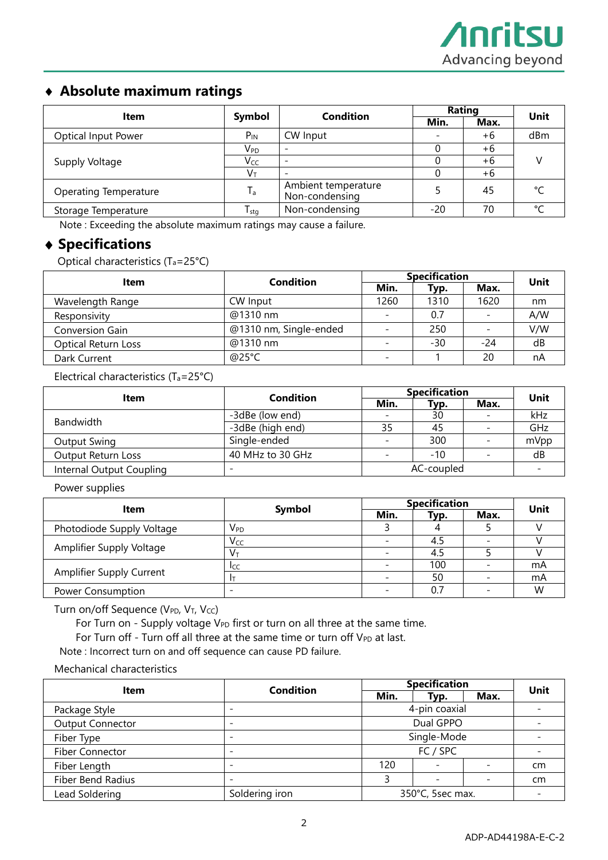#### **Absolute maximum ratings**

| Item                       | Symbol                     | <b>Condition</b>                      | Rating          |      | Unit   |  |
|----------------------------|----------------------------|---------------------------------------|-----------------|------|--------|--|
|                            |                            |                                       | Min.            | Max. |        |  |
| <b>Optical Input Power</b> | $P_{IN}$                   | CW Input                              | $\qquad \qquad$ | +6   | dBm    |  |
|                            | $\mathsf{V}_{\mathsf{PD}}$ | $\overline{\phantom{a}}$              |                 | +6   |        |  |
| Supply Voltage             | Vcc                        | $\overline{\phantom{a}}$              |                 | +6   |        |  |
|                            | Vт                         |                                       |                 | +6   |        |  |
| Operating Temperature      | $T_{\rm a}$                | Ambient temperature<br>Non-condensing |                 | 45   | ۰      |  |
| Storage Temperature        | $T_{\text{stg}}$           | Non-condensing                        | -20             | 70   | $\sim$ |  |

Note : Exceeding the absolute maximum ratings may cause a failure.

#### **Specifications**

Optical characteristics (Ta=25°C)

| Item                       | Condition              | <b>Specification</b>     |       |      | Unit |
|----------------------------|------------------------|--------------------------|-------|------|------|
|                            |                        | Min.                     | Typ.  | Max. |      |
| Wavelength Range           | CW Input               | 1260                     | 1310  | 1620 | nm   |
| Responsivity               | @1310 nm               |                          | 0.7   |      | A/W  |
| Conversion Gain            | @1310 nm, Single-ended |                          | 250   |      | V/W  |
| <b>Optical Return Loss</b> | @1310 nm               | $\overline{\phantom{a}}$ | $-30$ | -24  | dB   |
| Dark Current               | @25°C                  | $\overline{\phantom{0}}$ |       | 20   | nA   |

Electrical characteristics (Ta=25°C)

| Item                      | Condition                | <b>Specification</b> |       |                          | Unit |
|---------------------------|--------------------------|----------------------|-------|--------------------------|------|
|                           |                          | Min.                 | Typ.  | Max.                     |      |
|                           | -3dBe (low end)          |                      | 30    |                          | kHz  |
| Bandwidth                 | -3dBe (high end)         | 35                   | 45    |                          | GHz  |
| Output Swing              | Single-ended             |                      | 300   | $\overline{\phantom{0}}$ | mVpp |
| <b>Output Return Loss</b> | 40 MHz to 30 GHz         |                      | $-10$ |                          | dB   |
| Internal Output Coupling  | $\overline{\phantom{a}}$ | AC-coupled           |       |                          |      |

Power supplies

| Item                      | Symbol                     | <b>Specification</b> |      |      | Unit |
|---------------------------|----------------------------|----------------------|------|------|------|
|                           |                            | Min.                 | Typ. | Max. |      |
| Photodiode Supply Voltage | $\mathsf{V}_{\mathsf{PD}}$ |                      |      |      |      |
|                           | Vcc                        |                      | 4.5  |      |      |
| Amplifier Supply Voltage  | Vт                         |                      | 4.5  |      |      |
|                           | <b>ICC</b>                 |                      | 100  |      | mA   |
| Amplifier Supply Current  |                            |                      | 50   |      | mA   |
| Power Consumption         |                            |                      | 0.7  |      | W    |

Turn on/off Sequence ( $V_{PD}$ ,  $V_T$ ,  $V_{CC}$ )

For Turn on - Supply voltage  $V_{PD}$  first or turn on all three at the same time.

For Turn off - Turn off all three at the same time or turn off  $V_{PD}$  at last.

Note : Incorrect turn on and off sequence can cause PD failure.

Mechanical characteristics

|                          | <b>Condition</b> |      | <b>Specification</b>     |      |      |  |
|--------------------------|------------------|------|--------------------------|------|------|--|
| <b>Item</b>              |                  | Min. | Typ.                     | Max. | Unit |  |
| Package Style            |                  |      | 4-pin coaxial            |      |      |  |
| <b>Output Connector</b>  |                  |      | Dual GPPO                |      |      |  |
| Fiber Type               |                  |      | Single-Mode              |      |      |  |
| <b>Fiber Connector</b>   |                  |      | FC / SPC                 |      |      |  |
| Fiber Length             |                  | 120  |                          |      | cm   |  |
| <b>Fiber Bend Radius</b> |                  |      | $\overline{\phantom{0}}$ |      | cm   |  |
| Lead Soldering           | Soldering iron   |      | 350°C, 5sec max.         |      |      |  |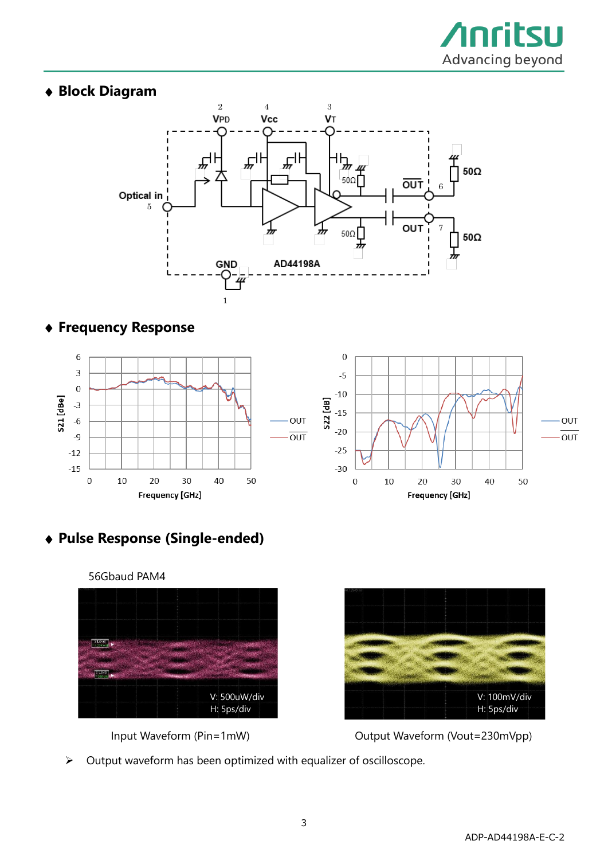

### **Block Diagram**



#### **Frequency Response**



**Pulse Response (Single-ended)**







➢ Output waveform has been optimized with equalizer of oscilloscope.